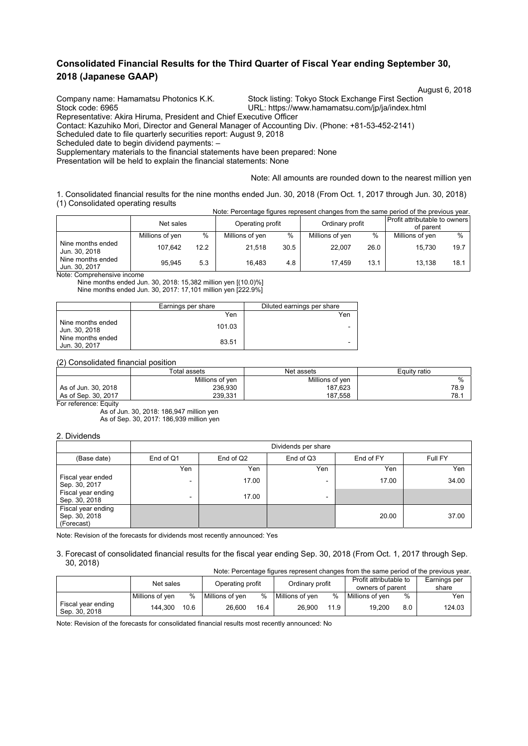## **Consolidated Financial Results for the Third Quarter of Fiscal Year ending September 30, 2018 (Japanese GAAP)**

Company name: Hamamatsu Photonics K.K. Stock listing: Tokyo Stock Exchange First Section<br>URL: https://www.hamamatsu.com/jp/ja/index.htm

August 6, 2018

URL: https://www.hamamatsu.com/jp/ja/index.html Representative: Akira Hiruma, President and Chief Executive Officer

Contact: Kazuhiko Mori, Director and General Manager of Accounting Div. (Phone: +81-53-452-2141)

Scheduled date to file quarterly securities report: August 9, 2018

Scheduled date to begin dividend payments: –

Supplementary materials to the financial statements have been prepared: None

Presentation will be held to explain the financial statements: None

#### Note: All amounts are rounded down to the nearest million yen

1. Consolidated financial results for the nine months ended Jun. 30, 2018 (From Oct. 1, 2017 through Jun. 30, 2018) (1) Consolidated operating results Note: Percentage figures represent changes from the same period of the previous year.

| TWAC. I CROCHIQQU HQUIUS TUDIUSUHI OHQHQUS HOHH IHU SQIHU DUHOU OH IHU DIUWOOS VUQI. |                 |      |                  |      |                 |      |                                            |      |
|--------------------------------------------------------------------------------------|-----------------|------|------------------|------|-----------------|------|--------------------------------------------|------|
|                                                                                      | Net sales       |      | Operating profit |      | Ordinary profit |      | Profit attributable to owners<br>of parent |      |
|                                                                                      | Millions of yen | $\%$ | Millions of yen  | %    | Millions of yen | $\%$ | Millions of yen                            | $\%$ |
| Nine months ended<br>Jun. 30, 2018                                                   | 107.642         | 12.2 | 21.518           | 30.5 | 22.007          | 26.0 | 15.730                                     | 19.7 |
| Nine months ended<br>Jun. 30, 2017                                                   | 95.945          | 5.3  | 16.483           | 4.8  | 17.459          | 13.1 | 13.138                                     | 18.1 |

Note: Comprehensive income

Nine months ended Jun. 30, 2018: 15,382 million yen [(10.0)%] Nine months ended Jun. 30, 2017: 17,101 million yen [222.9%]

|                                      | Earnings per share | Diluted earnings per share |
|--------------------------------------|--------------------|----------------------------|
|                                      | Yen                | Yen                        |
| I Nine months ended<br>Jun. 30, 2018 | 101.03             | -                          |
| I Nine months ended<br>Jun. 30, 2017 | 83.51              | -                          |

#### (2) Consolidated financial position

|                     | <b>Total assets</b> | Net assets      | Equity ratio |  |  |
|---------------------|---------------------|-----------------|--------------|--|--|
|                     | Millions of yen     | Millions of ven | %            |  |  |
| As of Jun. 30, 2018 | 236.930             | 187.623         | 78.9         |  |  |
| As of Sep. 30, 2017 | 239.331             | 187.558         | 78.1         |  |  |

For reference: Equity

As of Jun. 30, 2018: 186,947 million yen As of Sep. 30, 2017: 186,939 million yen

### 2. Dividends

|                                                   | Dividends per share      |           |                          |           |         |  |  |  |  |
|---------------------------------------------------|--------------------------|-----------|--------------------------|-----------|---------|--|--|--|--|
| (Base date)                                       | End of Q1                | End of Q2 | End of Q3                | End of FY | Full FY |  |  |  |  |
|                                                   | Yen                      | Yen       | Yen                      | Yen       | Yen     |  |  |  |  |
| Fiscal year ended<br>Sep. 30, 2017                | $\overline{\phantom{0}}$ | 17.00     |                          | 17.00     | 34.00   |  |  |  |  |
| Fiscal year ending<br>Sep. 30, 2018               | $\overline{\phantom{0}}$ | 17.00     | $\overline{\phantom{0}}$ |           |         |  |  |  |  |
| Fiscal year ending<br>Sep. 30, 2018<br>(Forecast) |                          |           |                          | 20.00     | 37.00   |  |  |  |  |

Note: Revision of the forecasts for dividends most recently announced: Yes

#### 3. Forecast of consolidated financial results for the fiscal year ending Sep. 30, 2018 (From Oct. 1, 2017 through Sep. 30, 2018)

| Note: Percentage figures represent changes from the same period of the previous year. |                 |      |                  |      |                 |      |                                            |     |                       |
|---------------------------------------------------------------------------------------|-----------------|------|------------------|------|-----------------|------|--------------------------------------------|-----|-----------------------|
|                                                                                       | Net sales       |      | Operating profit |      | Ordinary profit |      | Profit attributable to<br>owners of parent |     | Earnings per<br>share |
|                                                                                       | Millions of ven | %    | Millions of ven  | $\%$ | Millions of ven | $\%$ | Millions of ven                            | %   | Yen                   |
| Fiscal year ending<br>Sep. 30, 2018                                                   | 144.300         | 10.6 | 26.600           | 16.4 | 26.900          | 11.9 | 19.200                                     | 8.0 | 124.03                |

Note: Revision of the forecasts for consolidated financial results most recently announced: No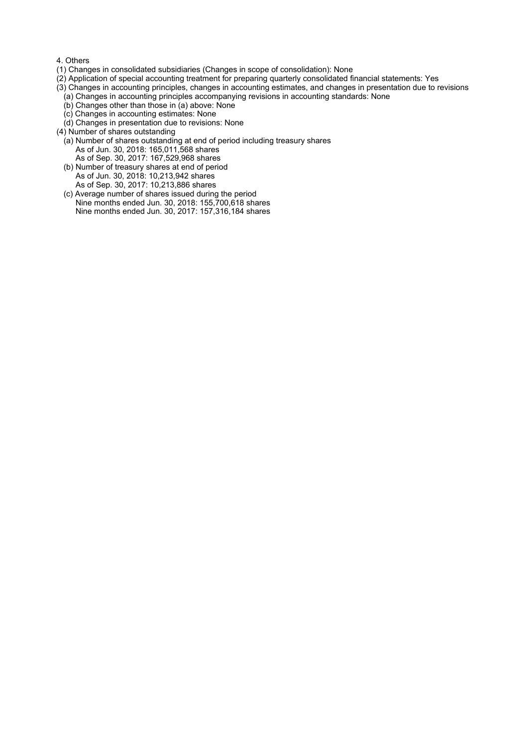#### 4. Others

- (1) Changes in consolidated subsidiaries (Changes in scope of consolidation): None
- (2) Application of special accounting treatment for preparing quarterly consolidated financial statements: Yes
- (3) Changes in accounting principles, changes in accounting estimates, and changes in presentation due to revisions
	- (a) Changes in accounting principles accompanying revisions in accounting standards: None
	- (b) Changes other than those in (a) above: None
	- (c) Changes in accounting estimates: None
	- (d) Changes in presentation due to revisions: None
- (4) Number of shares outstanding
	- (a) Number of shares outstanding at end of period including treasury shares As of Jun. 30, 2018: 165,011,568 shares As of Sep. 30, 2017: 167,529,968 shares
	- (b) Number of treasury shares at end of period As of Jun. 30, 2018: 10,213,942 shares As of Sep. 30, 2017: 10,213,886 shares
	- (c) Average number of shares issued during the period Nine months ended Jun. 30, 2018: 155,700,618 shares Nine months ended Jun. 30, 2017: 157,316,184 shares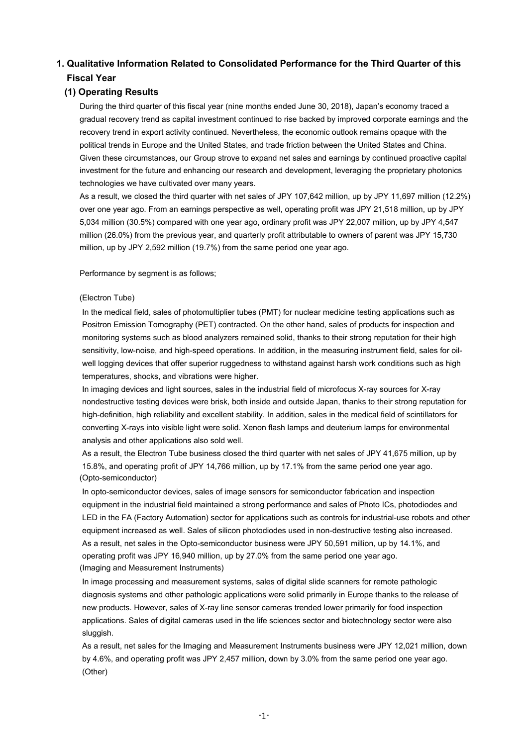# **1. Qualitative Information Related to Consolidated Performance for the Third Quarter of this Fiscal Year**

## **(1) Operating Results**

During the third quarter of this fiscal year (nine months ended June 30, 2018), Japan's economy traced a gradual recovery trend as capital investment continued to rise backed by improved corporate earnings and the recovery trend in export activity continued. Nevertheless, the economic outlook remains opaque with the political trends in Europe and the United States, and trade friction between the United States and China. Given these circumstances, our Group strove to expand net sales and earnings by continued proactive capital investment for the future and enhancing our research and development, leveraging the proprietary photonics technologies we have cultivated over many years.

As a result, we closed the third quarter with net sales of JPY 107,642 million, up by JPY 11,697 million (12.2%) over one year ago. From an earnings perspective as well, operating profit was JPY 21,518 million, up by JPY 5,034 million (30.5%) compared with one year ago, ordinary profit was JPY 22,007 million, up by JPY 4,547 million (26.0%) from the previous year, and quarterly profit attributable to owners of parent was JPY 15,730 million, up by JPY 2,592 million (19.7%) from the same period one year ago.

Performance by segment is as follows;

### (Electron Tube)

In the medical field, sales of photomultiplier tubes (PMT) for nuclear medicine testing applications such as Positron Emission Tomography (PET) contracted. On the other hand, sales of products for inspection and monitoring systems such as blood analyzers remained solid, thanks to their strong reputation for their high sensitivity, low-noise, and high-speed operations. In addition, in the measuring instrument field, sales for oilwell logging devices that offer superior ruggedness to withstand against harsh work conditions such as high temperatures, shocks, and vibrations were higher.

In imaging devices and light sources, sales in the industrial field of microfocus X-ray sources for X-ray nondestructive testing devices were brisk, both inside and outside Japan, thanks to their strong reputation for high-definition, high reliability and excellent stability. In addition, sales in the medical field of scintillators for converting X-rays into visible light were solid. Xenon flash lamps and deuterium lamps for environmental analysis and other applications also sold well.

As a result, the Electron Tube business closed the third quarter with net sales of JPY 41,675 million, up by 15.8%, and operating profit of JPY 14,766 million, up by 17.1% from the same period one year ago. (Opto-semiconductor)

In opto-semiconductor devices, sales of image sensors for semiconductor fabrication and inspection equipment in the industrial field maintained a strong performance and sales of Photo ICs, photodiodes and LED in the FA (Factory Automation) sector for applications such as controls for industrial-use robots and other equipment increased as well. Sales of silicon photodiodes used in non-destructive testing also increased. As a result, net sales in the Opto-semiconductor business were JPY 50,591 million, up by 14.1%, and operating profit was JPY 16,940 million, up by 27.0% from the same period one year ago. (Imaging and Measurement Instruments)

In image processing and measurement systems, sales of digital slide scanners for remote pathologic diagnosis systems and other pathologic applications were solid primarily in Europe thanks to the release of new products. However, sales of X-ray line sensor cameras trended lower primarily for food inspection applications. Sales of digital cameras used in the life sciences sector and biotechnology sector were also sluggish.

As a result, net sales for the Imaging and Measurement Instruments business were JPY 12,021 million, down by 4.6%, and operating profit was JPY 2,457 million, down by 3.0% from the same period one year ago. (Other)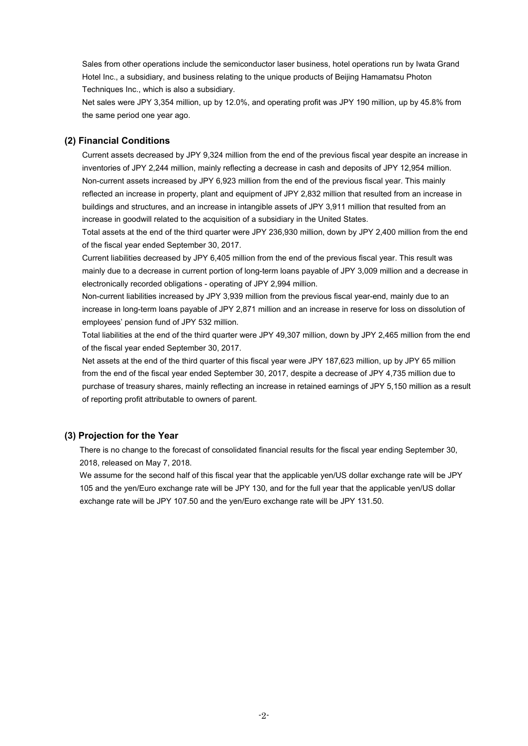Sales from other operations include the semiconductor laser business, hotel operations run by Iwata Grand Hotel Inc., a subsidiary, and business relating to the unique products of Beijing Hamamatsu Photon Techniques Inc., which is also a subsidiary.

Net sales were JPY 3,354 million, up by 12.0%, and operating profit was JPY 190 million, up by 45.8% from the same period one year ago.

### **(2) Financial Conditions**

Current assets decreased by JPY 9,324 million from the end of the previous fiscal year despite an increase in inventories of JPY 2,244 million, mainly reflecting a decrease in cash and deposits of JPY 12,954 million. Non-current assets increased by JPY 6,923 million from the end of the previous fiscal year. This mainly reflected an increase in property, plant and equipment of JPY 2,832 million that resulted from an increase in buildings and structures, and an increase in intangible assets of JPY 3,911 million that resulted from an increase in goodwill related to the acquisition of a subsidiary in the United States.

Total assets at the end of the third quarter were JPY 236,930 million, down by JPY 2,400 million from the end of the fiscal year ended September 30, 2017.

Current liabilities decreased by JPY 6,405 million from the end of the previous fiscal year. This result was mainly due to a decrease in current portion of long-term loans payable of JPY 3,009 million and a decrease in electronically recorded obligations - operating of JPY 2,994 million.

Non-current liabilities increased by JPY 3,939 million from the previous fiscal year-end, mainly due to an increase in long-term loans payable of JPY 2,871 million and an increase in reserve for loss on dissolution of employees' pension fund of JPY 532 million.

Total liabilities at the end of the third quarter were JPY 49,307 million, down by JPY 2,465 million from the end of the fiscal year ended September 30, 2017.

Net assets at the end of the third quarter of this fiscal year were JPY 187,623 million, up by JPY 65 million from the end of the fiscal year ended September 30, 2017, despite a decrease of JPY 4,735 million due to purchase of treasury shares, mainly reflecting an increase in retained earnings of JPY 5,150 million as a result of reporting profit attributable to owners of parent.

### **(3) Projection for the Year**

There is no change to the forecast of consolidated financial results for the fiscal year ending September 30, 2018, released on May 7, 2018.

We assume for the second half of this fiscal year that the applicable yen/US dollar exchange rate will be JPY 105 and the yen/Euro exchange rate will be JPY 130, and for the full year that the applicable yen/US dollar exchange rate will be JPY 107.50 and the yen/Euro exchange rate will be JPY 131.50.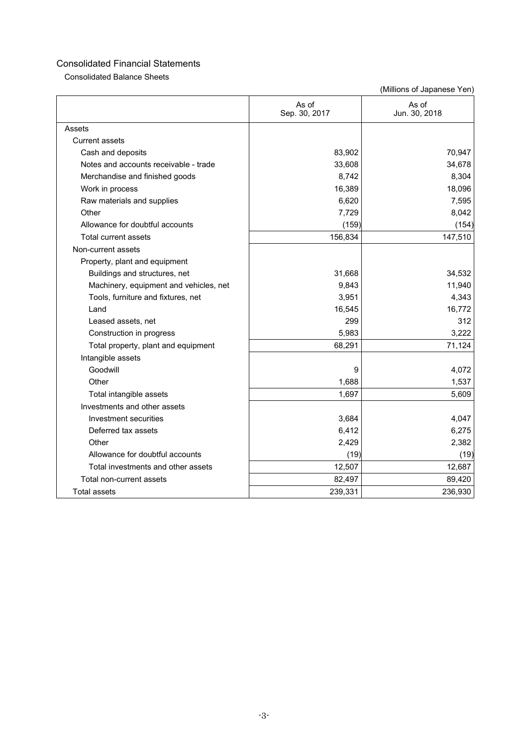Consolidated Balance Sheets

|                                        | As of<br>Sep. 30, 2017 | As of<br>Jun. 30, 2018 |
|----------------------------------------|------------------------|------------------------|
| Assets                                 |                        |                        |
| <b>Current assets</b>                  |                        |                        |
| Cash and deposits                      | 83,902                 | 70,947                 |
| Notes and accounts receivable - trade  | 33,608                 | 34,678                 |
| Merchandise and finished goods         | 8,742                  | 8,304                  |
| Work in process                        | 16,389                 | 18,096                 |
| Raw materials and supplies             | 6,620                  | 7,595                  |
| Other                                  | 7,729                  | 8,042                  |
| Allowance for doubtful accounts        | (159)                  | (154)                  |
| <b>Total current assets</b>            | 156,834                | 147,510                |
| Non-current assets                     |                        |                        |
| Property, plant and equipment          |                        |                        |
| Buildings and structures, net          | 31,668                 | 34,532                 |
| Machinery, equipment and vehicles, net | 9,843                  | 11,940                 |
| Tools, furniture and fixtures, net     | 3,951                  | 4,343                  |
| Land                                   | 16,545                 | 16,772                 |
| Leased assets, net                     | 299                    | 312                    |
| Construction in progress               | 5,983                  | 3,222                  |
| Total property, plant and equipment    | 68,291                 | 71,124                 |
| Intangible assets                      |                        |                        |
| Goodwill                               | 9                      | 4,072                  |
| Other                                  | 1,688                  | 1,537                  |
| Total intangible assets                | 1,697                  | 5,609                  |
| Investments and other assets           |                        |                        |
| Investment securities                  | 3,684                  | 4,047                  |
| Deferred tax assets                    | 6,412                  | 6,275                  |
| Other                                  | 2,429                  | 2,382                  |
| Allowance for doubtful accounts        | (19)                   | (19)                   |
| Total investments and other assets     | 12,507                 | 12,687                 |
| Total non-current assets               | 82,497                 | 89,420                 |
| <b>Total assets</b>                    | 239,331                | 236,930                |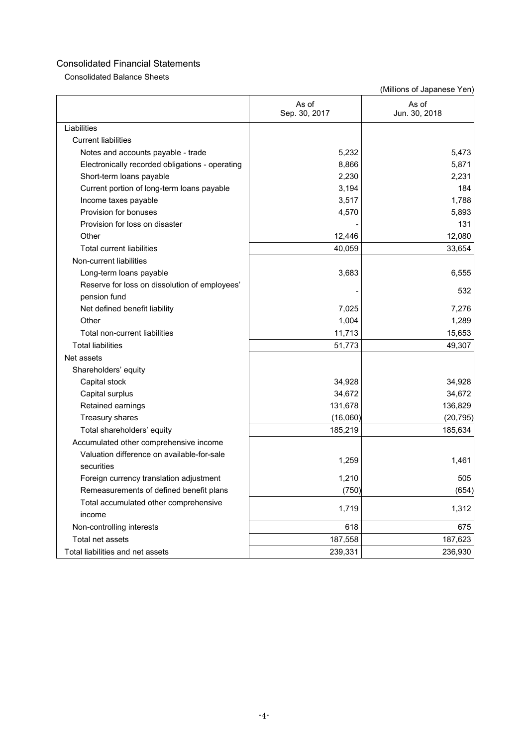Consolidated Balance Sheets

|                                                 | As of<br>Sep. 30, 2017 | As of<br>Jun. 30, 2018 |
|-------------------------------------------------|------------------------|------------------------|
| Liabilities                                     |                        |                        |
| <b>Current liabilities</b>                      |                        |                        |
| Notes and accounts payable - trade              | 5,232                  | 5,473                  |
| Electronically recorded obligations - operating | 8,866                  | 5,871                  |
| Short-term loans payable                        | 2,230                  | 2,231                  |
| Current portion of long-term loans payable      | 3,194                  | 184                    |
| Income taxes payable                            | 3,517                  | 1,788                  |
| Provision for bonuses                           | 4,570                  | 5,893                  |
| Provision for loss on disaster                  |                        | 131                    |
| Other                                           | 12,446                 | 12,080                 |
| <b>Total current liabilities</b>                | 40,059                 | 33,654                 |
| Non-current liabilities                         |                        |                        |
| Long-term loans payable                         | 3,683                  | 6,555                  |
| Reserve for loss on dissolution of employees'   |                        | 532                    |
| pension fund                                    |                        |                        |
| Net defined benefit liability                   | 7,025                  | 7,276                  |
| Other                                           | 1,004                  | 1,289                  |
| Total non-current liabilities                   | 11,713                 | 15,653                 |
| <b>Total liabilities</b>                        | 51,773                 | 49,307                 |
| Net assets                                      |                        |                        |
| Shareholders' equity                            |                        |                        |
| Capital stock                                   | 34,928                 | 34,928                 |
| Capital surplus                                 | 34,672                 | 34,672                 |
| Retained earnings                               | 131,678                | 136,829                |
| Treasury shares                                 | (16,060)               | (20, 795)              |
| Total shareholders' equity                      | 185,219                | 185,634                |
| Accumulated other comprehensive income          |                        |                        |
| Valuation difference on available-for-sale      |                        |                        |
| securities                                      | 1,259                  | 1,461                  |
| Foreign currency translation adjustment         | 1,210                  | 505                    |
| Remeasurements of defined benefit plans         | (750)                  | (654)                  |
| Total accumulated other comprehensive           |                        |                        |
| income                                          | 1,719                  | 1,312                  |
| Non-controlling interests                       | 618                    | 675                    |
| Total net assets                                | 187,558                | 187,623                |
| Total liabilities and net assets                | 239,331                | 236,930                |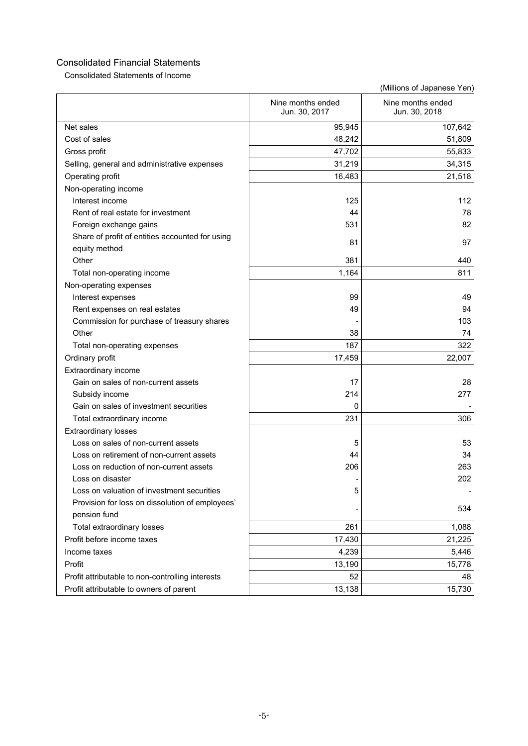Consolidated Statements of Income

|                                                  | Nine months ended<br>Jun. 30, 2017 | Nine months ended<br>Jun. 30, 2018 |
|--------------------------------------------------|------------------------------------|------------------------------------|
| Net sales                                        | 95,945                             | 107,642                            |
| Cost of sales                                    | 48,242                             | 51,809                             |
| Gross profit                                     | 47,702                             | 55,833                             |
| Selling, general and administrative expenses     | 31,219                             | 34,315                             |
| Operating profit                                 | 16,483                             | 21,518                             |
| Non-operating income                             |                                    |                                    |
| Interest income                                  | 125                                | 112                                |
| Rent of real estate for investment               | 44                                 | 78                                 |
| Foreign exchange gains                           | 531                                | 82                                 |
| Share of profit of entities accounted for using  |                                    |                                    |
| equity method                                    | 81                                 | 97                                 |
| Other                                            | 381                                | 440                                |
| Total non-operating income                       | 1,164                              | 811                                |
| Non-operating expenses                           |                                    |                                    |
| Interest expenses                                | 99                                 | 49                                 |
| Rent expenses on real estates                    | 49                                 | 94                                 |
| Commission for purchase of treasury shares       |                                    | 103                                |
| Other                                            | 38                                 | 74                                 |
| Total non-operating expenses                     | 187                                | 322                                |
| Ordinary profit                                  | 17,459                             | 22,007                             |
| Extraordinary income                             |                                    |                                    |
| Gain on sales of non-current assets              | 17                                 | 28                                 |
| Subsidy income                                   | 214                                | 277                                |
| Gain on sales of investment securities           | 0                                  |                                    |
| Total extraordinary income                       | 231                                | 306                                |
| <b>Extraordinary losses</b>                      |                                    |                                    |
| Loss on sales of non-current assets              | 5                                  | 53                                 |
| Loss on retirement of non-current assets         | 44                                 | 34                                 |
| Loss on reduction of non-current assets          | 206                                | 263                                |
| Loss on disaster                                 |                                    | 202                                |
| Loss on valuation of investment securities       | 5                                  |                                    |
| Provision for loss on dissolution of employees'  |                                    | 534                                |
| pension fund                                     |                                    |                                    |
| Total extraordinary losses                       | 261                                | 1,088                              |
| Profit before income taxes                       | 17,430                             | 21,225                             |
| Income taxes                                     | 4,239                              | 5,446                              |
| Profit                                           | 13,190                             | 15,778                             |
| Profit attributable to non-controlling interests | 52                                 | 48                                 |
| Profit attributable to owners of parent          | 13,138                             | 15,730                             |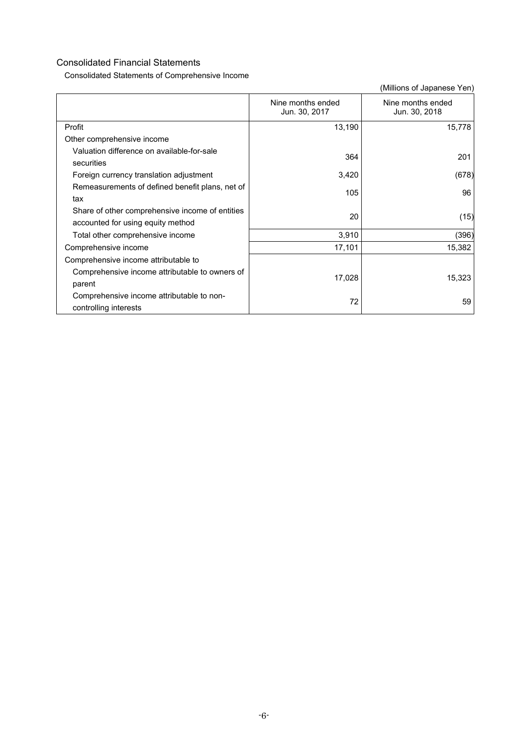Consolidated Statements of Comprehensive Income

|                                                                                      | Nine months ended<br>Jun. 30, 2017 | Nine months ended<br>Jun. 30, 2018 |
|--------------------------------------------------------------------------------------|------------------------------------|------------------------------------|
| Profit                                                                               | 13,190                             | 15,778                             |
| Other comprehensive income                                                           |                                    |                                    |
| Valuation difference on available-for-sale<br>securities                             | 364                                | 201                                |
| Foreign currency translation adjustment                                              | 3,420                              | (678)                              |
| Remeasurements of defined benefit plans, net of<br>tax                               | 105                                | 96                                 |
| Share of other comprehensive income of entities<br>accounted for using equity method | 20                                 | (15)                               |
| Total other comprehensive income                                                     | 3,910                              | (396)                              |
| Comprehensive income                                                                 | 17,101                             | 15,382                             |
| Comprehensive income attributable to                                                 |                                    |                                    |
| Comprehensive income attributable to owners of<br>parent                             | 17,028                             | 15,323                             |
| Comprehensive income attributable to non-<br>controlling interests                   | 72                                 | 59                                 |